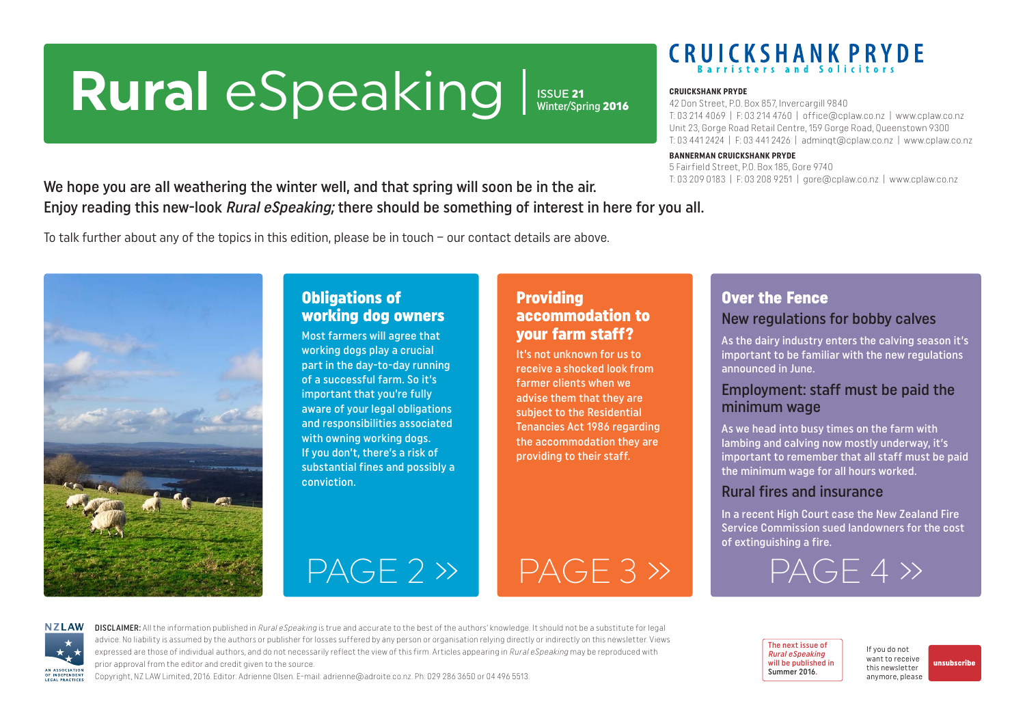# <span id="page-0-0"></span>Rural eSpeaking Issue 21

Winter/Spring 2016

# **CRUICKSHANK PRYDE**

#### **CRUICKSHANK PRYDE**

42 Don Street, P.O. Box 857, Invercargill 9840 T: 03 214 4069 | F: 03 214 4760 | office@cplaw.co.nz | www.cplaw.co.nz Unit 23, Gorge Road Retail Centre, 159 Gorge Road, Queenstown 9300 T: 03 441 2424 | F: 03 441 2426 | adminqt@cplaw.co.nz | www.cplaw.co.nz

#### **BANNERMAN CRUICKSHANK PRYDE**

5 Fairfield Street, P.O. Box 185, Gore 9740 T: 03 209 0183 | F: 03 208 9251 | gore@cplaw.co.nz | www.cplaw.co.nz

We hope you are all weathering the winter well, and that spring will soon be in the air. Enjoy reading this new-look Rural eSpeaking; there should be something of interest in here for you all.

To talk further about any of the topics in this edition, please be in touch – our contact details are above.



#### Obligations of working dog owners

Most farmers will agree that working dogs play a crucial part in the day-to-day running of a successful farm. So it's important that you're fully aware of your legal obligations and responsibilities associated with owning working dogs. If you don't, there's a risk of substantial fines and possibly a conviction.

#### Providing accommodation to your farm staff?

It's not unknown for us to receive a shocked look from farmer clients when we advise them that they are subject to the Residential Tenancies Act 1986 regarding the accommodation they are providing to their staff.

#### Over the Fence New regulations for bobby calves

As the dairy industry enters the calving season it's important to be familiar with the new regulations announced in June.

#### Employment: staff must be paid the minimum wage

As we head into busy times on the farm with lambing and calving now mostly underway, it's important to remember that all staff must be paid the minimum wage for all hours worked.

#### Rural fires and insurance

In a recent High Court case the New Zealand Fire Service Commission sued landowners for the cost of extinguishing a fire.

[PAGE 4 »](#page-3-0)



DISCLAIMER: All the information published in Rural eSpeaking is true and accurate to the best of the authors' knowledge. It should not be a substitute for legal advice. No liability is assumed by the authors or publisher for losses suffered by any person or organisation relying directly or indirectly on this newsletter. Views expressed are those of individual authors, and do not necessarily reflect the view of this firm. Articles appearing in Rural eSpeaking may be reproduced with prior approval from the editor and credit given to the source.

 $PAGE 2 \rightarrow$  PAGE 3  $\rightarrow$ 

Copyright, NZ LAW Limited, 2016. Editor: Adrienne Olsen. [E-mail: adrienne@adroite.co.nz](mailto:adrienne@adroite.co.nz). Ph: 029 286 3650 or 04 496 5513.

#### The next issue of Rural eSpeaking will be published in Summer 2016.

If you do not want to receive this newsletter anymore, please

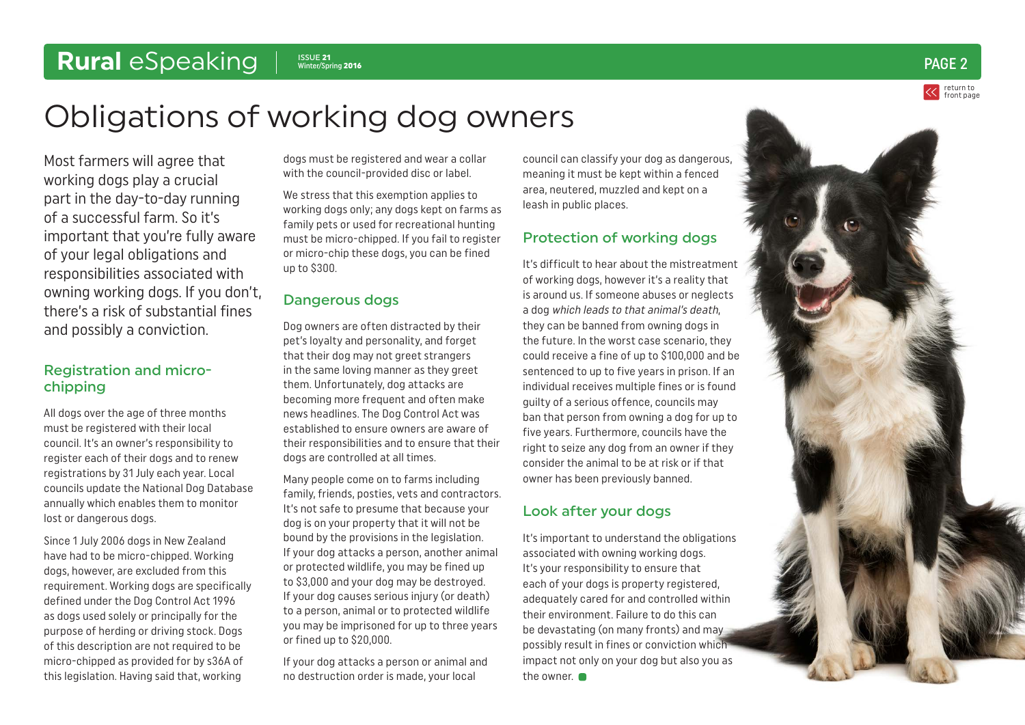### <span id="page-1-0"></span>Rural eSpeaking | SSUE 21

return to [front page](#page-0-0)  $\frac{1}{\text{Winter/Spring 2016}}$   $\text{PAGE 2}$ 

## Obligations of working dog owners

Most farmers will agree that working dogs play a crucial part in the day-to-day running of a successful farm. So it's important that you're fully aware of your legal obligations and responsibilities associated with owning working dogs. If you don't, there's a risk of substantial fines and possibly a conviction.

#### Registration and microchipping

All dogs over the age of three months must be registered with their local council. It's an owner's responsibility to register each of their dogs and to renew registrations by 31 July each year. Local councils update the National Dog Database annually which enables them to monitor lost or dangerous dogs.

Since 1 July 2006 dogs in New Zealand have had to be micro-chipped. Working dogs, however, are excluded from this requirement. Working dogs are specifically defined under the Dog Control Act 1996 as dogs used solely or principally for the purpose of herding or driving stock. Dogs of this description are not required to be micro-chipped as provided for by s36A of this legislation. Having said that, working

dogs must be registered and wear a collar with the council-provided disc or label.

We stress that this exemption applies to working dogs only; any dogs kept on farms as family pets or used for recreational hunting must be micro-chipped. If you fail to register or micro-chip these dogs, you can be fined up to \$300.

#### Dangerous dogs

Dog owners are often distracted by their pet's loyalty and personality, and forget that their dog may not greet strangers in the same loving manner as they greet them. Unfortunately, dog attacks are becoming more frequent and often make news headlines. The Dog Control Act was established to ensure owners are aware of their responsibilities and to ensure that their dogs are controlled at all times.

Many people come on to farms including family, friends, posties, vets and contractors. It's not safe to presume that because your dog is on your property that it will not be bound by the provisions in the legislation. If your dog attacks a person, another animal or protected wildlife, you may be fined up to \$3,000 and your dog may be destroyed. If your dog causes serious injury (or death) to a person, animal or to protected wildlife you may be imprisoned for up to three years or fined up to \$20,000.

If your dog attacks a person or animal and no destruction order is made, your local

council can classify your dog as dangerous, meaning it must be kept within a fenced area, neutered, muzzled and kept on a leash in public places.

#### Protection of working dogs

It's difficult to hear about the mistreatment of working dogs, however it's a reality that is around us. If someone abuses or neglects a dog which leads to that animal's death, they can be banned from owning dogs in the future. In the worst case scenario, they could receive a fine of up to \$100,000 and be sentenced to up to five years in prison. If an individual receives multiple fines or is found guilty of a serious offence, councils may ban that person from owning a dog for up to five years. Furthermore, councils have the right to seize any dog from an owner if they consider the animal to be at risk or if that owner has been previously banned.

#### Look after your dogs

It's important to understand the obligations associated with owning working dogs. It's your responsibility to ensure that each of your dogs is property registered, adequately cared for and controlled within their environment. Failure to do this can be devastating (on many fronts) and may possibly result in fines or conviction which impact not only on your dog but also you as the owner.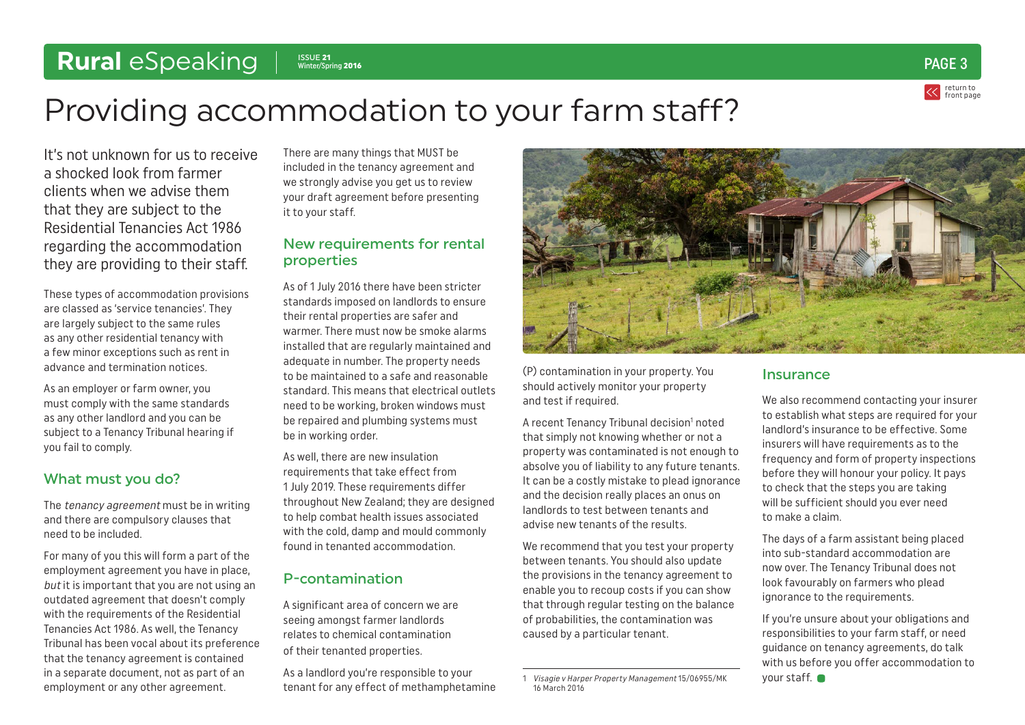### <span id="page-2-0"></span>Rural eSpeaking | SSUE 21



# Providing accommodation to your farm staff?

It's not unknown for us to receive a shocked look from farmer clients when we advise them that they are subject to the Residential Tenancies Act 1986 regarding the accommodation they are providing to their staff.

These types of accommodation provisions are classed as 'service tenancies'. They are largely subject to the same rules as any other residential tenancy with a few minor exceptions such as rent in advance and termination notices.

As an employer or farm owner, you must comply with the same standards as any other landlord and you can be subject to a Tenancy Tribunal hearing if you fail to comply.

#### What must you do?

The tenancy agreement must be in writing and there are compulsory clauses that need to be included.

For many of you this will form a part of the employment agreement you have in place, but it is important that you are not using an outdated agreement that doesn't comply with the requirements of the Residential Tenancies Act 1986. As well, the Tenancy Tribunal has been vocal about its preference that the tenancy agreement is contained in a separate document, not as part of an employment or any other agreement.

There are many things that MUST be included in the tenancy agreement and we strongly advise you get us to review your draft agreement before presenting it to your staff.

#### New requirements for rental properties

As of 1 July 2016 there have been stricter standards imposed on landlords to ensure their rental properties are safer and warmer. There must now he smoke alarms installed that are regularly maintained and adequate in number. The property needs to be maintained to a safe and reasonable standard. This means that electrical outlets need to be working, broken windows must be repaired and plumbing systems must be in working order.

As well, there are new insulation requirements that take effect from 1 July 2019. These requirements differ throughout New Zealand; they are designed to help combat health issues associated with the cold, damp and mould commonly found in tenanted accommodation.

#### P-contamination

A significant area of concern we are seeing amongst farmer landlords relates to chemical contamination of their tenanted properties.

As a landlord you're responsible to your tenant for any effect of methamphetamine



(P) contamination in your property. You should actively monitor your property and test if required.

A recent Tenancy Tribunal decision<sup>1</sup> noted that simply not knowing whether or not a property was contaminated is not enough to absolve you of liability to any future tenants. It can be a costly mistake to plead ignorance and the decision really places an onus on landlords to test between tenants and advise new tenants of the results.

We recommend that you test your property between tenants. You should also update the provisions in the tenancy agreement to enable you to recoup costs if you can show that through regular testing on the balance of probabilities, the contamination was caused by a particular tenant.

#### Insurance

We also recommend contacting your insurer to establish what steps are required for your landlord's insurance to be effective. Some insurers will have requirements as to the frequency and form of property inspections before they will honour your policy. It pays to check that the steps you are taking will be sufficient should you ever need to make a claim.

The days of a farm assistant being placed into sub-standard accommodation are now over. The Tenancy Tribunal does not look favourably on farmers who plead ignorance to the requirements.

If you're unsure about your obligations and responsibilities to your farm staff, or need guidance on tenancy agreements, do talk with us before you offer accommodation to your staff.

<sup>1</sup> Visagie v Harper Property Management 15/06955/MK 16 March 2016